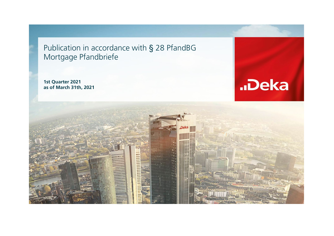Publication in accordance with § 28 PfandBG Mortgage Pfandbriefe

**1st Quarter 2021 as of March 31th, 2021**



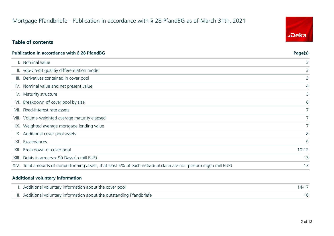## Mortgage Pfandbriefe - Publication in accordance with § 28 PfandBG as of March 31th, 2021

## **Table of contents**

|      | Publication in accordance with § 28 PfandBG                                                                          | Page(s)        |
|------|----------------------------------------------------------------------------------------------------------------------|----------------|
|      | . Nominal value                                                                                                      | 3              |
|      | II. vdp-Credit qualitiy differentiation model                                                                        | 3              |
|      | III. Derivatives contained in cover pool                                                                             | 3              |
|      | IV. Nominal value and net present value                                                                              | 4              |
|      | V. Maturity structure                                                                                                | 5              |
|      | VI. Breakdown of cover pool by size                                                                                  | 6              |
|      | VII. Fixed-interest rate assets                                                                                      | 7 <sup>1</sup> |
|      | VIII. Volume-weighted average maturity elapsed                                                                       |                |
|      | IX. Weighted average mortgage lending value                                                                          |                |
|      | X. Additional cover pool assets                                                                                      | 8              |
|      | XI. Exceedances                                                                                                      | 9              |
| XII. | Breakdown of cover pool                                                                                              | $10 - 12$      |
|      | XIII. Debts in arrears > 90 Days (in mill EUR)                                                                       | 13             |
|      | XIV. Total amounts of nonperforming assets, if at least 5% of each individual claim are non performing (in mill EUR) | 13             |

#### **Additional voluntary information**

 $\overline{\phantom{a}}$ 

| I. Additional voluntary information about the cover pool               |  |
|------------------------------------------------------------------------|--|
| II. Additional voluntary information about the outstanding Pfandbriefe |  |

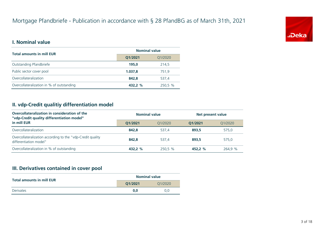

### **I. Nominal value**

| <b>Total amounts in mill EUR</b>          | <b>Nominal value</b> |         |  |
|-------------------------------------------|----------------------|---------|--|
|                                           | Q1/2021<br>Q1/2020   |         |  |
| Outstanding Pfandbriefe                   | 195.0                | 214,5   |  |
| Public sector cover pool                  | 1.037,8              | 751,9   |  |
| Overcollateralization                     | 842.8                | 537.4   |  |
| Overcollateralization in % of outstanding | 432,2 %              | 250,5 % |  |

## **II. vdp-Credit qualitiy differentiation model**

| Overcollateralization in consideration of the<br>"vdp-Credit quality differentiation model" | <b>Nominal value</b> |         |         | Net present value |  |
|---------------------------------------------------------------------------------------------|----------------------|---------|---------|-------------------|--|
| in mill EUR                                                                                 | 01/2021              | 01/2020 | 01/2021 | 01/2020           |  |
| Overcollateralization                                                                       | 842.8                | 537.4   | 893.5   | 575.0             |  |
| Overcollateralization according to the "vdp-Credit quality<br>differentiation model"        | 842.8                | 537.4   | 893.5   | 575.0             |  |
| Overcollateralization in % of outstanding                                                   | 432.2 %              | 250,5 % | 452.2 % | 264.9 %           |  |

## **III. Derivatives contained in cover pool**

| <b>Total amounts in mill EUR</b> | <b>Nominal value</b> |         |  |
|----------------------------------|----------------------|---------|--|
|                                  | 01/2021              | 01/2020 |  |
| Derivates                        | 0.0                  | 0.0     |  |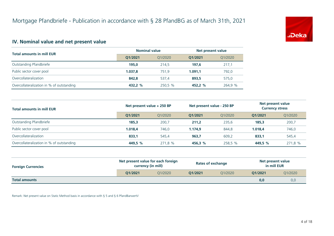

## **IV. Nominal value and net present value**

| <b>Total amounts in mill EUR</b>          | <b>Nominal value</b> |         | Net present value |         |
|-------------------------------------------|----------------------|---------|-------------------|---------|
|                                           | 01/2021              | 01/2020 | 01/2021           | 01/2020 |
| Outstanding Pfandbriefe                   | 195.0                | 214.5   | 197.6             | 217,1   |
| Public sector cover pool                  | 1.037.8              | 751.9   | 1.091.1           | 792,0   |
| Overcollateralization                     | 842.8                | 537.4   | 893.5             | 575,0   |
| Overcollateralization in % of outstanding | 432.2 %              | 250,5 % | 452.2 %           | 264,9 % |

| <b>Total amounts in mill EUR</b>          | Net present value + 250 BP |         | Net present value - 250 BP |         | Net present value<br><b>Currency stress</b> |         |
|-------------------------------------------|----------------------------|---------|----------------------------|---------|---------------------------------------------|---------|
|                                           | O1/2021                    | 01/2020 | 01/2021                    | 01/2020 | 01/2021                                     | Q1/2020 |
| Outstanding Pfandbriefe                   | 185,3                      | 200,7   | 211,2                      | 235,6   | 185,3                                       | 200,7   |
| Public sector cover pool                  | 1.018.4                    | 746,0   | 1.174.9                    | 844.8   | 1.018.4                                     | 746,0   |
| Overcollateralization                     | 833,1                      | 545.4   | 963,7                      | 609,2   | 833,1                                       | 545,4   |
| Overcollateralization in % of outstanding | 449,5 %                    | 271,8 % | 456,3 %                    | 258,5 % | 449,5 %                                     | 271,8 % |

| <b>Foreign Currencies</b> | Net present value for each foreign<br>currency (in mill) |         | <b>Rates of exchange</b> |         | Net present value<br>in mill EUR |         |
|---------------------------|----------------------------------------------------------|---------|--------------------------|---------|----------------------------------|---------|
|                           | O1/2021                                                  | 01/2020 | O1/2021                  | 01/2020 | O1/2021                          | Q1/2020 |
| <b>Total amounts</b>      |                                                          |         |                          |         | 0,0                              | 0,0     |

Remark: Net present value on Static Method basis in accordance with § 5 and § 6 PfandBarwertV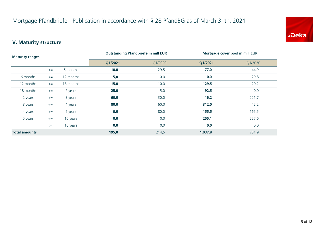

## **V. Maturity structure**

| <b>Maturity ranges</b> |        |           | <b>Outstanding Pfandbriefe in mill EUR</b> |         | Mortgage cover pool in mill EUR |         |  |
|------------------------|--------|-----------|--------------------------------------------|---------|---------------------------------|---------|--|
|                        |        |           | Q1/2021                                    | Q1/2020 | Q1/2021                         | Q1/2020 |  |
|                        | $\leq$ | 6 months  | 10,0                                       | 29,5    | 77,0                            | 44,9    |  |
| 6 months               | $\leq$ | 12 months | 5,0                                        | 0,0     | 0,0                             | 29,8    |  |
| 12 months              | $\leq$ | 18 months | 15,0                                       | 10,0    | 129,5                           | 20,2    |  |
| 18 months              | $\leq$ | 2 years   | 25,0                                       | 5,0     | 92,5                            | 0,0     |  |
| 2 years                | $\leq$ | 3 years   | 60,0                                       | 30,0    | 16,2                            | 221,7   |  |
| 3 years                | $\leq$ | 4 years   | 80,0                                       | 60,0    | 312,0                           | 42,2    |  |
| 4 years                | $\leq$ | 5 years   | 0,0                                        | 80,0    | 155,5                           | 165,5   |  |
| 5 years                | $\leq$ | 10 years  | 0,0                                        | 0,0     | 255,1                           | 227,6   |  |
|                        | $\geq$ | 10 years  | 0,0                                        | 0,0     | 0,0                             | 0,0     |  |
| <b>Total amounts</b>   |        | 195,0     | 214,5                                      | 1.037,8 | 751,9                           |         |  |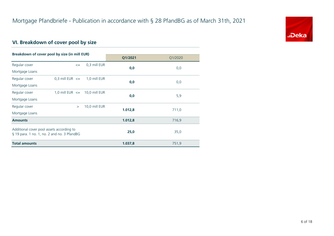

## **VI. Breakdown of cover pool by size**

| Breakdown of cover pool by size (in mill EUR)                                            |                                   |               |         |         |
|------------------------------------------------------------------------------------------|-----------------------------------|---------------|---------|---------|
|                                                                                          |                                   |               | Q1/2021 | Q1/2020 |
| Regular cover                                                                            | $\leq$                            | 0,3 mill EUR  | 0,0     |         |
| Mortgage Loans                                                                           |                                   |               |         | 0,0     |
| Regular cover                                                                            | 0,3 mill EUR $\leq$               | 1,0 mill EUR  |         |         |
| Mortgage Loans                                                                           |                                   |               | 0,0     | 0,0     |
| Regular cover                                                                            | 1,0 mill EUR $\leq$ 10,0 mill EUR |               | 0,0     | 5,9     |
| Mortgage Loans                                                                           |                                   |               |         |         |
| Regular cover                                                                            | $\geq$                            | 10,0 mill EUR | 1.012,8 | 711,0   |
| Mortgage Loans                                                                           |                                   |               |         |         |
| <b>Amounts</b>                                                                           |                                   |               | 1.012,8 | 716,9   |
| Additional cover pool assets according to<br>§ 19 para. 1 no. 1, no. 2 and no. 3 PfandBG |                                   |               | 25,0    | 35,0    |
| <b>Total amounts</b>                                                                     |                                   |               | 1.037,8 | 751,9   |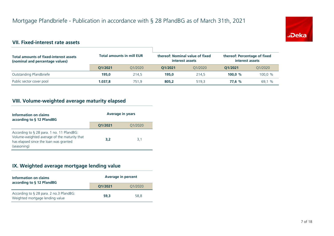

## **VII. Fixed-interest rate assets**

| <b>Total amounts of fixed-interest assets</b><br>(nominal and percentage values) | <b>Total amounts in mill EUR</b> |         | thereof: Nominal value of fixed<br>interest assets |         | thereof: Percentage of fixed<br>interest assets |         |
|----------------------------------------------------------------------------------|----------------------------------|---------|----------------------------------------------------|---------|-------------------------------------------------|---------|
|                                                                                  | 01/2021                          | 01/2020 | 01/2021                                            | 01/2020 | 01/2021                                         | Q1/2020 |
| Outstanding Pfandbriefe                                                          | 195.0                            | 214.5   | 195.0                                              | 214.5   | 100.0 $%$                                       | 100.0 % |
| Public sector cover pool                                                         | 1.037.8                          | 751.9   | 805.2                                              | 519.3   | 77.6 %                                          | 69.1 %  |

## **VIII. Volume-weighted average maturity elapsed**

| Information on claims<br>according to § 12 PfandBG                                                                                                    | <b>Average in years</b> |         |  |
|-------------------------------------------------------------------------------------------------------------------------------------------------------|-------------------------|---------|--|
|                                                                                                                                                       | Q1/2021                 | Q1/2020 |  |
| According to $\S$ 28 para. 1 no. 11 PfandBG:<br>Volume-weighted average of the maturity that<br>has elapsed since the loan was granted<br>(seasoning) | 3.2                     | 3.1     |  |

## **IX. Weighted average mortgage lending value**

| Information on claims<br>according to § 12 PfandBG                         | <b>Average in percent</b> |         |  |
|----------------------------------------------------------------------------|---------------------------|---------|--|
|                                                                            | Q1/2021                   | Q1/2020 |  |
| According to § 28 para. 2 no.3 PfandBG:<br>Weighted mortgage lending value | 59.3                      | 58.8    |  |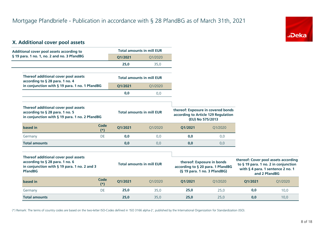

## **X. Additional cover pool assets**

**based in Code** 

| Additional cover pool assets according to                                                                                                 |               | <b>Total amounts in mill EUR</b> |         |                                                                                               |                                                                 |
|-------------------------------------------------------------------------------------------------------------------------------------------|---------------|----------------------------------|---------|-----------------------------------------------------------------------------------------------|-----------------------------------------------------------------|
| § 19 para. 1 no. 1, no. 2 and no. 3 PfandBG                                                                                               |               | Q1/2021                          | Q1/2020 |                                                                                               |                                                                 |
|                                                                                                                                           |               | 25,0                             | 35,0    |                                                                                               |                                                                 |
| Thereof additional cover pool assets<br>according to § 28 para. 1 no. 4                                                                   |               | <b>Total amounts in mill EUR</b> |         |                                                                                               |                                                                 |
| in conjunction with § 19 para. 1 no. 1 PfandBG                                                                                            |               | 01/2021                          | Q1/2020 |                                                                                               |                                                                 |
|                                                                                                                                           |               | 0.0                              | 0,0     |                                                                                               |                                                                 |
| Thereof additional cover pool assets                                                                                                      |               |                                  |         |                                                                                               |                                                                 |
| according to § 28 para. 1 no. 5<br>in conjunction with § 19 para. 1 no. 2 PfandBG                                                         |               | <b>Total amounts in mill EUR</b> |         | thereof: Exposure in covered bonds<br>according to Article 129 Regulation<br>(EU) No 575/2013 |                                                                 |
| based in                                                                                                                                  | Code<br>$(*)$ | Q1/2021                          | Q1/2020 | Q1/2021                                                                                       | Q1/2020                                                         |
| Germany                                                                                                                                   | DE            | 0,0                              | 0,0     | 0,0                                                                                           | 0,0                                                             |
| <b>Total amounts</b>                                                                                                                      |               | 0.0                              | 0,0     | 0.0                                                                                           | 0,0                                                             |
|                                                                                                                                           |               |                                  |         |                                                                                               |                                                                 |
| Thereof additional cover pool assets<br>according to § 28 para. 1 no. 6<br>in conjunction with § 19 para. 1 no. 2 and 3<br><b>PfandBG</b> |               | <b>Total amounts in mill EUR</b> |         |                                                                                               | thereof: Exposure in bonds<br>according to § 20 para. 1 PfandBG |

| thereof: Cover pool assets according<br>to § 19 para. 1 no. 2 in conjunction<br>with § 4 para. 1 sentence 2 no. 1<br>and 2 PfandBG |         |  |
|------------------------------------------------------------------------------------------------------------------------------------|---------|--|
| O1/2021                                                                                                                            | Q1/2020 |  |

(\*) Remark: The terms of country codes are based on the two-letter ISO-Codes defined in 'ISO 3166 alpha-2', published by the International Organization for Standardization (ISO).

Germany DE **25,0** 35,0 **25,0** 25,0 **0,0** 10,0 **Total amounts 25,0** 35,0 **25,0** 25,0 **0,0** 10,0

**Q1/2021** Q1/2020

**Q1/2021** Q1/2020

**(\*)**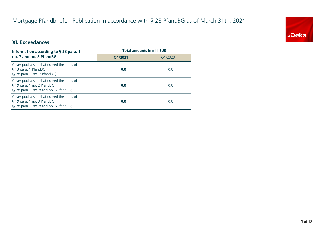## Mortgage Pfandbriefe - Publication in accordance with § 28 PfandBG as of March 31th, 2021



## **XI. Exceedances**

| Information according to $\S$ 28 para. 1                                                                            | <b>Total amounts in mill EUR</b> |         |  |
|---------------------------------------------------------------------------------------------------------------------|----------------------------------|---------|--|
| no. 7 and no. 8 PfandBG                                                                                             | 01/2021                          | 01/2020 |  |
| Cover pool assets that exceed the limits of<br>§ 13 para. 1 PfandBG<br>(§ 28 para. 1 no. 7 PfandBG)                 | 0,0                              | 0,0     |  |
| Cover pool assets that exceed the limits of<br>§ 19 para. 1 no. 2 PfandBG<br>(§ 28 para. 1 no. 8 and no. 5 PfandBG) | 0,0                              | 0,0     |  |
| Cover pool assets that exceed the limits of<br>§ 19 para. 1 no. 3 PfandBG<br>(§ 28 para. 1 no. 8 and no. 6 PfandBG) | 0,0                              | 0,0     |  |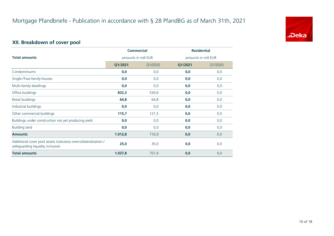

## **XII. Breakdown of cover pool**

|                                                                                                      | <b>Commercial</b>   |         | <b>Residential</b>  |         |
|------------------------------------------------------------------------------------------------------|---------------------|---------|---------------------|---------|
| <b>Total amounts</b>                                                                                 | amounts in mill EUR |         | amounts in mill EUR |         |
|                                                                                                      | Q1/2021             | Q1/2020 | Q1/2021             | Q1/2020 |
| Condominiums                                                                                         | 0,0                 | 0,0     | 0,0                 | 0,0     |
| Single-/Two-family-houses                                                                            | 0,0                 | 0,0     | 0,0                 | 0,0     |
| Multi-family dwellings                                                                               | 0,0                 | 0,0     | 0,0                 | 0,0     |
| Office buildings                                                                                     | 832,3               | 530,6   | 0,0                 | 0,0     |
| Retail buildings                                                                                     | 64,8                | 64,8    | 0,0                 | 0,0     |
| Industrial buildings                                                                                 | 0,0                 | 0,0     | 0,0                 | 0,0     |
| Other commercial buildings                                                                           | 115,7               | 121,5   | 0,0                 | 0,0     |
| Buildings under construction not yet producing yield                                                 | 0,0                 | 0,0     | 0,0                 | 0,0     |
| <b>Building land</b>                                                                                 | 0,0                 | 0,0     | 0,0                 | 0,0     |
| <b>Amounts</b>                                                                                       | 1.012,8             | 716,9   | 0,0                 | 0,0     |
| Additional cover pool assets (statutory overcollateralization /<br>safeguarding liquidity inclusive) | 25,0                | 35,0    | 0,0                 | 0,0     |
| <b>Total amounts</b>                                                                                 | 1.037,8             | 751,9   | 0,0                 | 0,0     |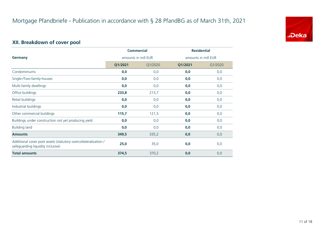

## **XII. Breakdown of cover pool**

|                                                                                                      | <b>Commercial</b>   |         | <b>Residential</b>  |         |
|------------------------------------------------------------------------------------------------------|---------------------|---------|---------------------|---------|
| Germany                                                                                              | amounts in mill EUR |         | amounts in mill EUR |         |
|                                                                                                      | Q1/2021             | Q1/2020 | Q1/2021             | Q1/2020 |
| Condominiums                                                                                         | 0,0                 | 0,0     | 0,0                 | 0,0     |
| Single-/Two-family-houses                                                                            | 0,0                 | 0,0     | 0,0                 | 0,0     |
| Multi-family dwellings                                                                               | 0,0                 | 0,0     | 0,0                 | 0,0     |
| Office buildings                                                                                     | 233,8               | 213,7   | 0,0                 | 0,0     |
| Retail buildings                                                                                     | 0,0                 | 0,0     | 0,0                 | 0,0     |
| Industrial buildings                                                                                 | 0,0                 | 0,0     | 0,0                 | 0,0     |
| Other commercial buildings                                                                           | 115,7               | 121,5   | 0,0                 | 0,0     |
| Buildings under construction not yet producing yield                                                 | 0,0                 | 0,0     | 0,0                 | 0,0     |
| <b>Building land</b>                                                                                 | 0,0                 | 0,0     | 0,0                 | 0,0     |
| <b>Amounts</b>                                                                                       | 349,5               | 335,2   | 0,0                 | 0,0     |
| Additional cover pool assets (statutory overcollateralization /<br>safeguarding liquidity inclusive) | 25,0                | 35,0    | 0,0                 | 0,0     |
| <b>Total amounts</b>                                                                                 | 374,5               | 370,2   | 0,0                 | 0,0     |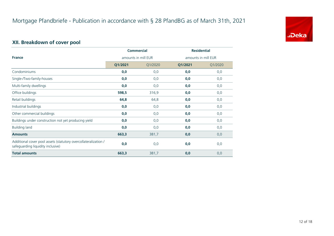

## **XII. Breakdown of cover pool**

|                                                                                                      | <b>Commercial</b>   |         | <b>Residential</b>  |         |
|------------------------------------------------------------------------------------------------------|---------------------|---------|---------------------|---------|
| <b>France</b>                                                                                        | amounts in mill EUR |         | amounts in mill EUR |         |
|                                                                                                      | Q1/2021             | Q1/2020 | Q1/2021             | Q1/2020 |
| Condominiums                                                                                         | 0,0                 | 0,0     | 0,0                 | 0,0     |
| Single-/Two-family-houses                                                                            | 0,0                 | 0,0     | 0,0                 | 0,0     |
| Multi-family dwellings                                                                               | 0,0                 | 0,0     | 0,0                 | 0,0     |
| Office buildings                                                                                     | 598,5               | 316,9   | 0,0                 | 0,0     |
| Retail buildings                                                                                     | 64,8                | 64,8    | 0,0                 | 0,0     |
| Industrial buildings                                                                                 | 0,0                 | 0,0     | 0,0                 | 0,0     |
| Other commercial buildings                                                                           | 0,0                 | 0,0     | 0,0                 | 0,0     |
| Buildings under construction not yet producing yield                                                 | 0,0                 | 0,0     | 0,0                 | 0,0     |
| <b>Building land</b>                                                                                 | 0,0                 | 0,0     | 0,0                 | 0,0     |
| <b>Amounts</b>                                                                                       | 663,3               | 381,7   | 0,0                 | 0,0     |
| Additional cover pool assets (statutory overcollateralization /<br>safeguarding liquidity inclusive) | 0,0                 | 0,0     | 0,0                 | 0,0     |
| <b>Total amounts</b>                                                                                 | 663,3               | 381,7   | 0,0                 | 0,0     |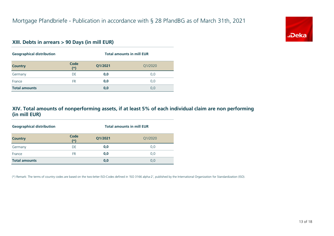

#### **XIII. Debts in arrears > 90 Days (in mill EUR)**

| <b>Geographical distribution</b> | <b>Total amounts in mill EUR</b> |         |         |
|----------------------------------|----------------------------------|---------|---------|
| <b>Country</b>                   | Code<br>$(*)$                    | Q1/2021 | Q1/2020 |
| Germany                          | DE                               | 0,0     | 0,0     |
| France                           | FR.                              | 0,0     | 0,0     |
| <b>Total amounts</b>             |                                  | 0,0     | 0,0     |

#### **XIV. Total amounts of nonperforming assets, if at least 5% of each individual claim are non performing (in mill EUR)**

| <b>Geographical distribution</b> | <b>Total amounts in mill EUR</b> |         |         |  |
|----------------------------------|----------------------------------|---------|---------|--|
| <b>Country</b>                   | Code<br>$(*)$                    | Q1/2021 | Q1/2020 |  |
| Germany                          | DE                               | 0,0     | 0,0     |  |
| France                           | <b>FR</b>                        | 0,0     | 0,0     |  |
| <b>Total amounts</b>             |                                  | 0,0     | 0,0     |  |

(\*) Remark: The terms of country codes are based on the two-letter ISO-Codes defined in 'ISO 3166 alpha-2', published by the International Organization for Standardization (ISO).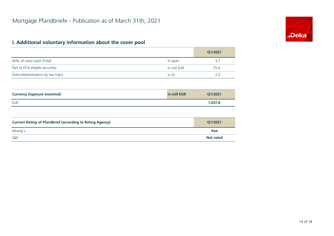## **I. Additional voluntary information about the cover pool**

|                                                                  |             | Q1/2021          |
|------------------------------------------------------------------|-------------|------------------|
| WAL of cover pool (Total)                                        | in years    | 3,7              |
| Part of ECB elligble securities                                  | in mill EUR | 25,0             |
| Overcollateralisation by law (npv)                               | in $%$      | 2,0              |
|                                                                  |             |                  |
| <b>Currency Exposure (nominal)</b>                               | in mill EUR | Q1/2021          |
| <b>EUR</b>                                                       |             | 1.037,8          |
|                                                                  |             |                  |
| <b>Current Rating of Pfandbrief (according to Rating Agency)</b> |             | Q1/2021          |
| Moody's                                                          |             | Aaa              |
| S&P                                                              |             | <b>Not rated</b> |

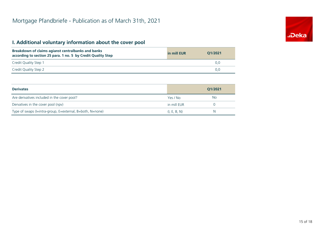## **I. Additional voluntary information about the cover pool**

| Breakdown of claims agianst centralbanks and banks<br>according to section 25 para. 1 no. 5 by Credit Quality Step | in mill EUR | 01/2021 |
|--------------------------------------------------------------------------------------------------------------------|-------------|---------|
| Credit Quality Step 1                                                                                              |             | 0.0     |
| Credit Quality Step 2                                                                                              |             | 0.0     |

| <b>Derivates</b>                                          |              | 01/2021 |
|-----------------------------------------------------------|--------------|---------|
| Are derivatives included in the cover pool?               | Yes / No     | No.     |
| Dervatives in the cover pool (npv)                        | in mill EUR  |         |
| Type of swaps (I=intra-group, E=external, B=both, N=none) | (I, E, B, N) | N       |

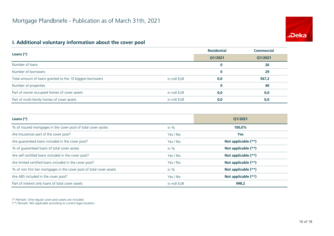# **.Deka**

## **I. Additional voluntary information about the cover pool**

|                                                           |             | <b>Residential</b> | <b>Commercial</b> |
|-----------------------------------------------------------|-------------|--------------------|-------------------|
| Loans $(*)$                                               |             | Q1/2021            | Q1/2021           |
| Number of loans                                           |             | 0                  | 26                |
| Number of borrowers                                       |             | $\bf{0}$           | 29                |
| Total amount of loans granted to the 10 biggest borrowers | in mill EUR | 0,0                | 567,2             |
| Number of properties                                      |             | $\bf{0}$           | 40                |
| Part of owner occupied homes of cover assets              | in mill EUR | 0,0                | 0,0               |
| Part of multi-family homes of cover assets                | in mill EUR | 0,0                | 0,0               |

| Loans $(*)$                                                           |             | O1/2021             |
|-----------------------------------------------------------------------|-------------|---------------------|
| % of insured mortgages in the cover pool of total cover asstes        | in $%$      | 100,0%              |
| Are Insurances part of the cover pool?                                | Yes / No    | <b>Yes</b>          |
| Are guaranteed loans included in the cover pool?                      | Yes / No    | Not applicable (**) |
| % of quaranteed loans of total cover asstes                           | in $%$      | Not applicable (**) |
| Are self certified loans included in the cover pool?                  | Yes / No    | Not applicable (**) |
| Are limited certified loans included in the cover pool?               | Yes / No    | Not applicable (**) |
| % of non first lien mortgages in the cover pool of total cover assets | in $%$      | Not applicable (**) |
| Are ABS included in the cover pool?                                   | Yes / No    | Not applicable (**) |
| Part of interest only loans of total cover assets                     | in mill EUR | 948,2               |

(\*) Remark: Only regular cover pool assets are included.

(\*\*) Remark: Not applicable according to current legal situation.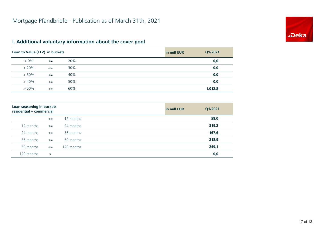

## **I. Additional voluntary information about the cover pool**

| Loan to Value (LTV) in buckets |        |     | in mill EUR | Q1/2021 |
|--------------------------------|--------|-----|-------------|---------|
| $> 0\%$                        | $\leq$ | 20% |             | 0,0     |
| $> 20\%$                       | $\leq$ | 30% |             | 0,0     |
| $> 30\%$                       | $\leq$ | 40% |             | 0,0     |
| $>40\%$                        | $\leq$ | 50% |             | 0,0     |
| $> 50\%$                       | $\leq$ | 60% |             | 1.012,8 |

| Loan seasoning in buckets<br>residential + commercial |        |            | in mill EUR | Q1/2021 |
|-------------------------------------------------------|--------|------------|-------------|---------|
|                                                       | $\leq$ | 12 months  |             | 58,0    |
| 12 months                                             | $\leq$ | 24 months  |             | 319,2   |
| 24 months                                             | $\leq$ | 36 months  |             | 167,6   |
| 36 months                                             | $\leq$ | 60 months  |             | 218,9   |
| 60 months                                             | $\leq$ | 120 months |             | 249,1   |
| 120 months                                            | $\geq$ |            |             | 0,0     |